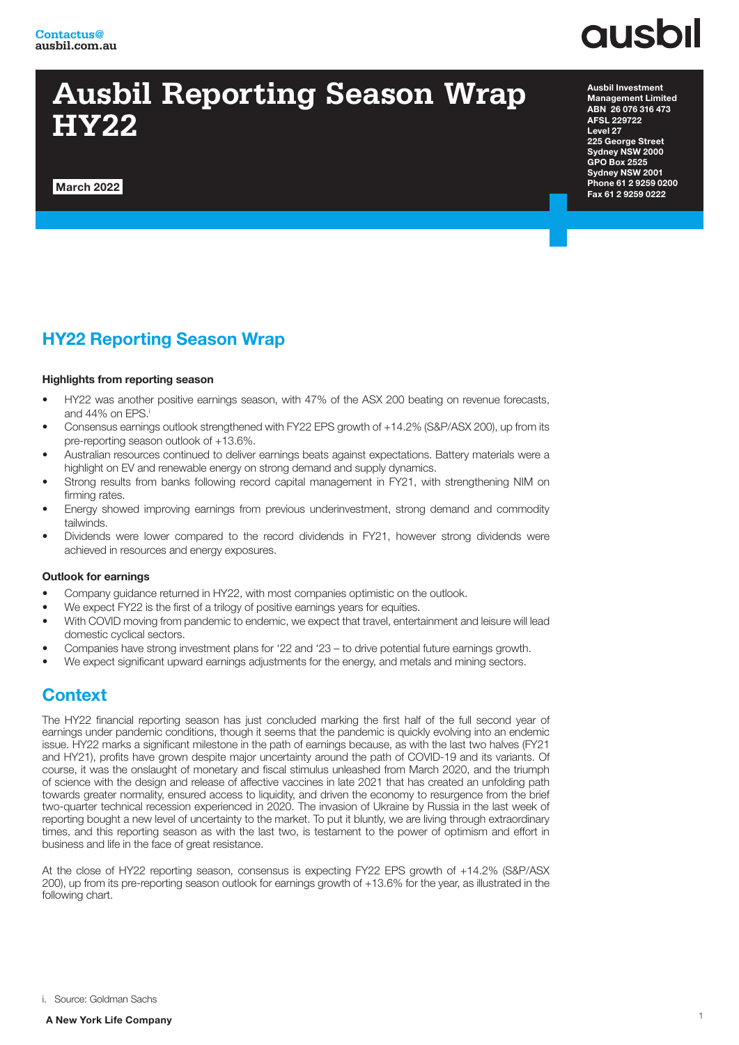

## **Ausbil Reporting Season Wrap HY22**

March 2022

Ausbil Investment Management Limited ABN 26 076 316 473 AFSL 229722 Level 27 225 George Street Sydney NSW 2000 GPO Box 2525 Sydney NSW 2001 Phone 61 2 9259 0200 Fax 61 2 9259 0222

## HY22 Reporting Season Wrap

#### Highlights from reporting season

- HY22 was another positive earnings season, with 47% of the ASX 200 beating on revenue forecasts, and 44% on EPS.i
- Consensus earnings outlook strengthened with FY22 EPS growth of +14.2% (S&P/ASX 200), up from its pre-reporting season outlook of +13.6%.
- Australian resources continued to deliver earnings beats against expectations. Battery materials were a highlight on EV and renewable energy on strong demand and supply dynamics.
- Strong results from banks following record capital management in FY21, with strengthening NIM on firming rates.
- Energy showed improving earnings from previous underinvestment, strong demand and commodity tailwinds.
- Dividends were lower compared to the record dividends in FY21, however strong dividends were achieved in resources and energy exposures.

#### Outlook for earnings

- Company guidance returned in HY22, with most companies optimistic on the outlook.
- We expect FY22 is the first of a trilogy of positive earnings years for equities.
- With COVID moving from pandemic to endemic, we expect that travel, entertainment and leisure will lead domestic cyclical sectors.
- Companies have strong investment plans for '22 and '23 to drive potential future earnings growth.
- We expect significant upward earnings adjustments for the energy, and metals and mining sectors.

## **Context**

The HY22 financial reporting season has just concluded marking the first half of the full second year of earnings under pandemic conditions, though it seems that the pandemic is quickly evolving into an endemic issue. HY22 marks a significant milestone in the path of earnings because, as with the last two halves (FY21 and HY21), profits have grown despite major uncertainty around the path of COVID-19 and its variants. Of course, it was the onslaught of monetary and fiscal stimulus unleashed from March 2020, and the triumph of science with the design and release of affective vaccines in late 2021 that has created an unfolding path towards greater normality, ensured access to liquidity, and driven the economy to resurgence from the brief two-quarter technical recession experienced in 2020. The invasion of Ukraine by Russia in the last week of reporting bought a new level of uncertainty to the market. To put it bluntly, we are living through extraordinary times, and this reporting season as with the last two, is testament to the power of optimism and effort in business and life in the face of great resistance.

At the close of HY22 reporting season, consensus is expecting FY22 EPS growth of +14.2% (S&P/ASX 200), up from its pre-reporting season outlook for earnings growth of +13.6% for the year, as illustrated in the following chart.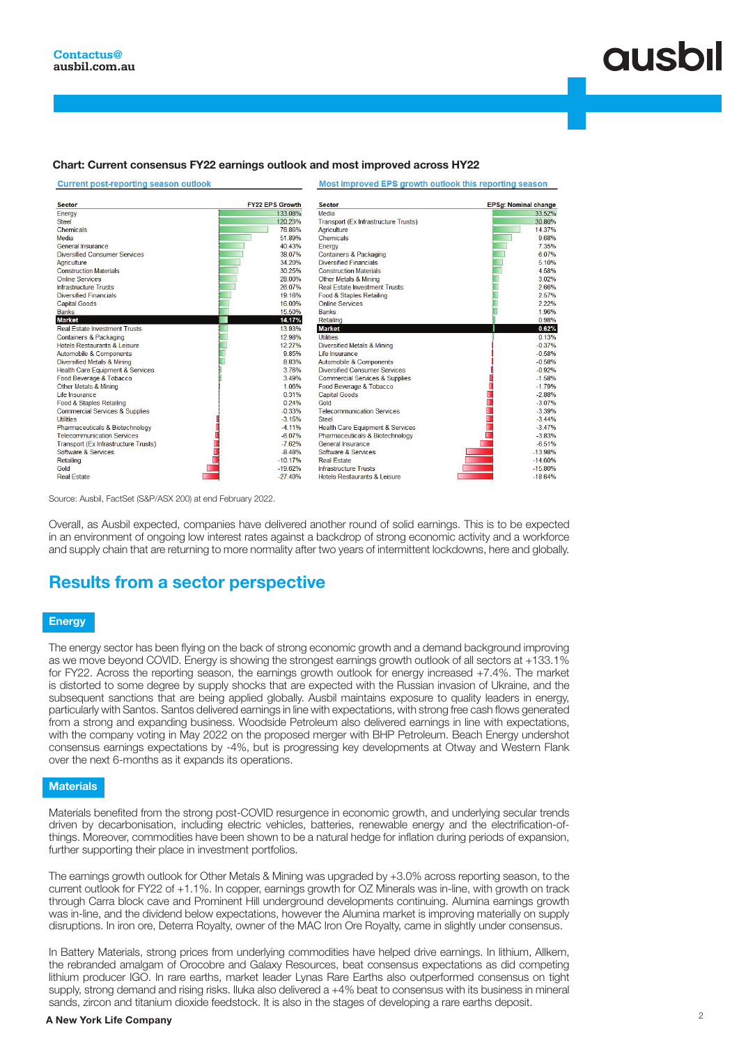#### Chart: Current consensus FY22 earnings outlook and most improved across HY22

**Current post-reporting season outlook** 

#### Most improved EPS growth outlook this reporting season

| <b>Sector</b>                             | <b>FY22 EPS Growth</b> | <b>Sector</b>                             | EPSg: Nominal change |
|-------------------------------------------|------------------------|-------------------------------------------|----------------------|
| Energy                                    | 133.08%                | Media                                     | 33.52%               |
| Steel                                     | 120.23%                | Transport (Ex Infrastructure Trusts)      | 30.80%               |
| Chemicals                                 | 78.86%                 | Agriculture                               | 14.37%               |
| Media                                     | 51 89%                 | Chemicals                                 | 968%                 |
| General Insurance                         | 40.43%                 | Energy                                    | 7.35%                |
| <b>Diversified Consumer Services</b>      | 38.07%                 | Containers & Packaging                    | 6.07%                |
| Agriculture                               | 34.20%                 | <b>Diversified Financials</b>             | 5 10%                |
| <b>Construction Materials</b>             | 30.25%                 | <b>Construction Materials</b>             | 4.58%                |
| Online Services                           | 28.00%                 | Other Metals & Mining                     | 3.02%                |
| <b>Infrastructure Trusts</b>              | 26.07%                 | <b>Real Estate Investment Trusts</b>      | 2.66%                |
| <b>Diversified Financials</b>             | 19.16%                 | Food & Staples Retailing                  | 2.57%                |
| <b>Capital Goods</b>                      | 16.00%                 | <b>Online Services</b>                    | 2.22%                |
| <b>Banks</b>                              | 15.50%                 | <b>Banks</b>                              | 1.96%                |
| <b>Market</b>                             | 14.17%                 | Retailing                                 | 0.98%                |
| <b>Real Estate Investment Trusts</b>      | 13.93%                 | <b>Market</b>                             | 0.62%                |
| <b>Containers &amp; Packaging</b>         | 12.98%                 | <b>Utilities</b>                          | 0.13%                |
| Hotels Restaurants & Leisure              | 12.27%                 | Diversified Metals & Mining               | $-0.37%$             |
| Automobile & Components                   | 9.85%                  | Life Insurance                            | $-0.58%$             |
| Diversified Metals & Mining               | 8.83%                  | Automobile & Components                   | $-0.58%$             |
| Health Care Equipment & Services          | 3.76%                  | Diversified Consumer Services             | $-0.92%$             |
| Food Beverage & Tobacco                   | 3.49%                  | <b>Commercial Services &amp; Supplies</b> | $-1.58%$             |
| Other Metals & Mining                     | 1.06%                  | Food Beverage & Tobacco                   | $-1.79%$             |
| Life Insurance                            | 0.31%                  | <b>Capital Goods</b>                      | $-2.88%$             |
| Food & Staples Retailing                  | 0.24%                  | Gold                                      | $-3.07%$             |
| <b>Commercial Services &amp; Supplies</b> | $-0.33%$               | <b>Telecommunication Services</b>         | $-3.39%$             |
| <b>Utilities</b>                          | $-3.15%$               | <b>Steel</b>                              | $-3.44%$             |
| Pharmaceuticals & Biotechnology           | $-4.11%$               | Health Care Equipment & Services          | $-3.47%$             |
| <b>Telecommunication Services</b>         | $-6.07%$               | Pharmaceuticals & Biotechnology           | $-3.83%$             |
| Transport (Ex Infrastructure Trusts)      | $-7.62%$               | General Insurance                         | $-6.51%$             |
| Software & Services                       | $-848%$                | Software & Services                       | $-13.98%$            |
| Retailing                                 | $-10.17%$              | <b>Real Estate</b>                        | $-14.60%$            |
| Gold                                      | $-19.62%$              | <b>Infrastructure Trusts</b>              | $-15.80%$            |
| <b>Real Estate</b>                        | $-27.40%$              | Hotels Restaurants & Leisure              | $-1864%$             |

Source: Ausbil, FactSet (S&P/ASX 200) at end February 2022.

Overall, as Ausbil expected, companies have delivered another round of solid earnings. This is to be expected in an environment of ongoing low interest rates against a backdrop of strong economic activity and a workforce and supply chain that are returning to more normality after two years of intermittent lockdowns, here and globally.

## Results from a sector perspective

#### **Energy**

The energy sector has been flying on the back of strong economic growth and a demand background improving as we move beyond COVID. Energy is showing the strongest earnings growth outlook of all sectors at +133.1% for FY22. Across the reporting season, the earnings growth outlook for energy increased +7.4%. The market is distorted to some degree by supply shocks that are expected with the Russian invasion of Ukraine, and the subsequent sanctions that are being applied globally. Ausbil maintains exposure to quality leaders in energy, particularly with Santos. Santos delivered earnings in line with expectations, with strong free cash flows generated from a strong and expanding business. Woodside Petroleum also delivered earnings in line with expectations, with the company voting in May 2022 on the proposed merger with BHP Petroleum. Beach Energy undershot consensus earnings expectations by -4%, but is progressing key developments at Otway and Western Flank over the next 6-months as it expands its operations.

#### **Materials**

Materials benefited from the strong post-COVID resurgence in economic growth, and underlying secular trends driven by decarbonisation, including electric vehicles, batteries, renewable energy and the electrification-ofthings. Moreover, commodities have been shown to be a natural hedge for inflation during periods of expansion, further supporting their place in investment portfolios.

The earnings growth outlook for Other Metals & Mining was upgraded by +3.0% across reporting season, to the current outlook for FY22 of +1.1%. In copper, earnings growth for OZ Minerals was in-line, with growth on track through Carra block cave and Prominent Hill underground developments continuing. Alumina earnings growth was in-line, and the dividend below expectations, however the Alumina market is improving materially on supply disruptions. In iron ore, Deterra Royalty, owner of the MAC Iron Ore Royalty, came in slightly under consensus.

In Battery Materials, strong prices from underlying commodities have helped drive earnings. In lithium, Allkem, the rebranded amalgam of Orocobre and Galaxy Resources, beat consensus expectations as did competing lithium producer IGO. In rare earths, market leader Lynas Rare Earths also outperformed consensus on tight supply, strong demand and rising risks. Iluka also delivered a +4% beat to consensus with its business in mineral sands, zircon and titanium dioxide feedstock. It is also in the stages of developing a rare earths deposit.

### <sup>2</sup> A New York Life Company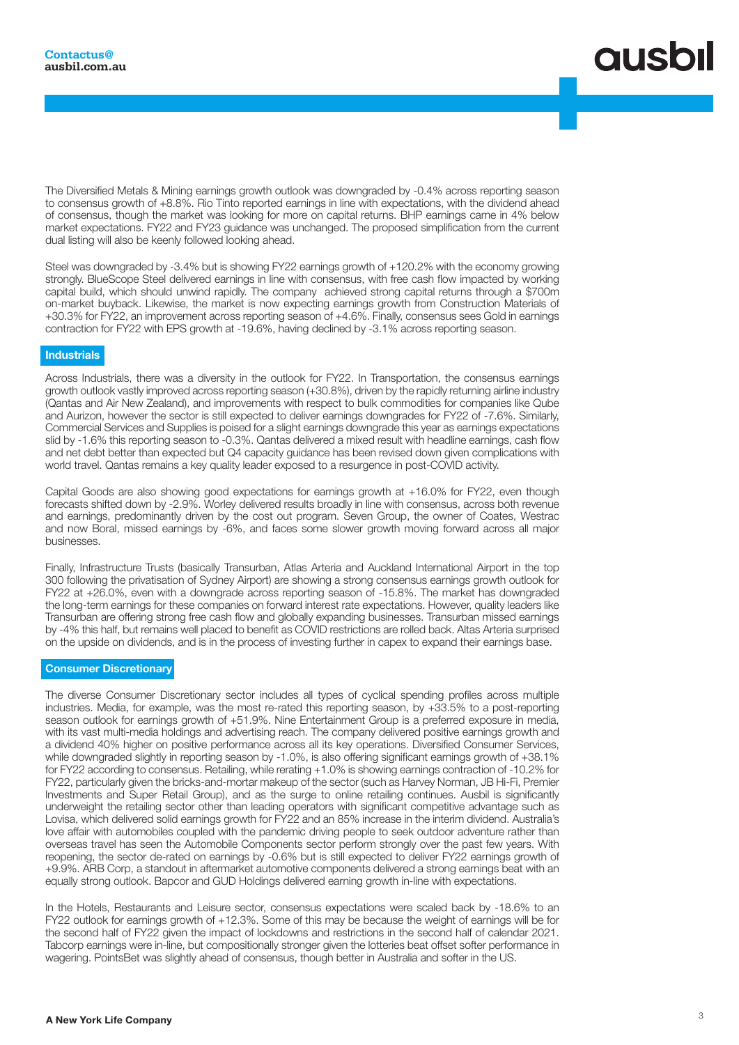

The Diversified Metals & Mining earnings growth outlook was downgraded by -0.4% across reporting season to consensus growth of +8.8%. Rio Tinto reported earnings in line with expectations, with the dividend ahead of consensus, though the market was looking for more on capital returns. BHP earnings came in 4% below market expectations. FY22 and FY23 guidance was unchanged. The proposed simplification from the current dual listing will also be keenly followed looking ahead.

Steel was downgraded by -3.4% but is showing FY22 earnings growth of +120.2% with the economy growing strongly. BlueScope Steel delivered earnings in line with consensus, with free cash flow impacted by working capital build, which should unwind rapidly. The company achieved strong capital returns through a \$700m on-market buyback. Likewise, the market is now expecting earnings growth from Construction Materials of +30.3% for FY22, an improvement across reporting season of +4.6%. Finally, consensus sees Gold in earnings contraction for FY22 with EPS growth at -19.6%, having declined by -3.1% across reporting season.

#### **Industrials**

Across Industrials, there was a diversity in the outlook for FY22. In Transportation, the consensus earnings growth outlook vastly improved across reporting season (+30.8%), driven by the rapidly returning airline industry (Qantas and Air New Zealand), and improvements with respect to bulk commodities for companies like Qube and Aurizon, however the sector is still expected to deliver earnings downgrades for FY22 of -7.6%. Similarly, Commercial Services and Supplies is poised for a slight earnings downgrade this year as earnings expectations slid by -1.6% this reporting season to -0.3%. Qantas delivered a mixed result with headline earnings, cash flow and net debt better than expected but Q4 capacity guidance has been revised down given complications with world travel. Qantas remains a key quality leader exposed to a resurgence in post-COVID activity.

Capital Goods are also showing good expectations for earnings growth at +16.0% for FY22, even though forecasts shifted down by -2.9%. Worley delivered results broadly in line with consensus, across both revenue and earnings, predominantly driven by the cost out program. Seven Group, the owner of Coates, Westrac and now Boral, missed earnings by -6%, and faces some slower growth moving forward across all major businesses.

Finally, Infrastructure Trusts (basically Transurban, Atlas Arteria and Auckland International Airport in the top 300 following the privatisation of Sydney Airport) are showing a strong consensus earnings growth outlook for FY22 at +26.0%, even with a downgrade across reporting season of -15.8%. The market has downgraded the long-term earnings for these companies on forward interest rate expectations. However, quality leaders like Transurban are offering strong free cash flow and globally expanding businesses. Transurban missed earnings by -4% this half, but remains well placed to benefit as COVID restrictions are rolled back. Altas Arteria surprised on the upside on dividends, and is in the process of investing further in capex to expand their earnings base.

#### Consumer Discretionary

The diverse Consumer Discretionary sector includes all types of cyclical spending profiles across multiple industries. Media, for example, was the most re-rated this reporting season, by +33.5% to a post-reporting season outlook for earnings growth of +51.9%. Nine Entertainment Group is a preferred exposure in media, with its vast multi-media holdings and advertising reach. The company delivered positive earnings growth and a dividend 40% higher on positive performance across all its key operations. Diversified Consumer Services, while downgraded slightly in reporting season by -1.0%, is also offering significant earnings growth of +38.1% for FY22 according to consensus. Retailing, while rerating +1.0% is showing earnings contraction of -10.2% for FY22, particularly given the bricks-and-mortar makeup of the sector (such as Harvey Norman, JB Hi-Fi, Premier Investments and Super Retail Group), and as the surge to online retailing continues. Ausbil is significantly underweight the retailing sector other than leading operators with significant competitive advantage such as Lovisa, which delivered solid earnings growth for FY22 and an 85% increase in the interim dividend. Australia's love affair with automobiles coupled with the pandemic driving people to seek outdoor adventure rather than overseas travel has seen the Automobile Components sector perform strongly over the past few years. With reopening, the sector de-rated on earnings by -0.6% but is still expected to deliver FY22 earnings growth of +9.9%. ARB Corp, a standout in aftermarket automotive components delivered a strong earnings beat with an equally strong outlook. Bapcor and GUD Holdings delivered earning growth in-line with expectations.

In the Hotels, Restaurants and Leisure sector, consensus expectations were scaled back by -18.6% to an FY22 outlook for earnings growth of +12.3%. Some of this may be because the weight of earnings will be for the second half of FY22 given the impact of lockdowns and restrictions in the second half of calendar 2021. Tabcorp earnings were in-line, but compositionally stronger given the lotteries beat offset softer performance in wagering. PointsBet was slightly ahead of consensus, though better in Australia and softer in the US.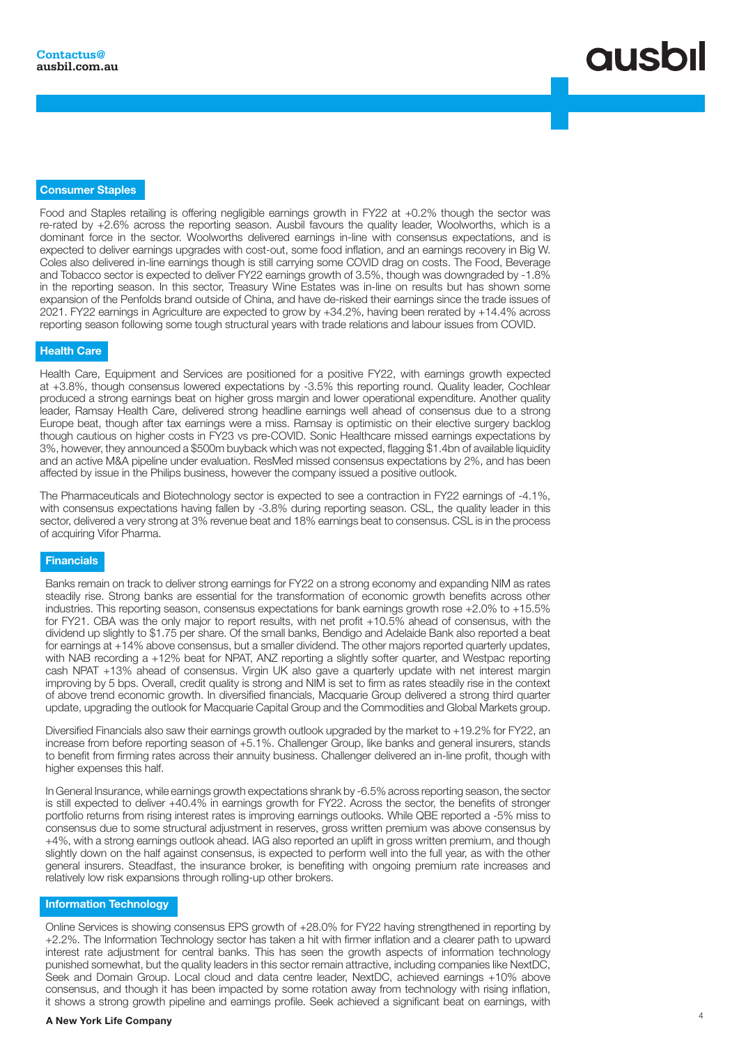# **QUSOI**

#### Consumer Staples

Food and Staples retailing is offering negligible earnings growth in FY22 at +0.2% though the sector was re-rated by +2.6% across the reporting season. Ausbil favours the quality leader, Woolworths, which is a dominant force in the sector. Woolworths delivered earnings in-line with consensus expectations, and is expected to deliver earnings upgrades with cost-out, some food inflation, and an earnings recovery in Big W. Coles also delivered in-line earnings though is still carrying some COVID drag on costs. The Food, Beverage and Tobacco sector is expected to deliver FY22 earnings growth of 3.5%, though was downgraded by -1.8% in the reporting season. In this sector, Treasury Wine Estates was in-line on results but has shown some expansion of the Penfolds brand outside of China, and have de-risked their earnings since the trade issues of 2021. FY22 earnings in Agriculture are expected to grow by +34.2%, having been rerated by +14.4% across reporting season following some tough structural years with trade relations and labour issues from COVID.

#### Health Care

Health Care, Equipment and Services are positioned for a positive FY22, with earnings growth expected at +3.8%, though consensus lowered expectations by -3.5% this reporting round. Quality leader, Cochlear produced a strong earnings beat on higher gross margin and lower operational expenditure. Another quality leader, Ramsay Health Care, delivered strong headline earnings well ahead of consensus due to a strong Europe beat, though after tax earnings were a miss. Ramsay is optimistic on their elective surgery backlog though cautious on higher costs in FY23 vs pre-COVID. Sonic Healthcare missed earnings expectations by 3%, however, they announced a \$500m buyback which was not expected, flagging \$1.4bn of available liquidity and an active M&A pipeline under evaluation. ResMed missed consensus expectations by 2%, and has been affected by issue in the Philips business, however the company issued a positive outlook.

The Pharmaceuticals and Biotechnology sector is expected to see a contraction in FY22 earnings of -4.1%, with consensus expectations having fallen by -3.8% during reporting season. CSL, the quality leader in this sector, delivered a very strong at 3% revenue beat and 18% earnings beat to consensus. CSL is in the process of acquiring Vifor Pharma.

#### **Financials**

Banks remain on track to deliver strong earnings for FY22 on a strong economy and expanding NIM as rates steadily rise. Strong banks are essential for the transformation of economic growth benefits across other industries. This reporting season, consensus expectations for bank earnings growth rose +2.0% to +15.5% for FY21. CBA was the only major to report results, with net profit +10.5% ahead of consensus, with the dividend up slightly to \$1.75 per share. Of the small banks, Bendigo and Adelaide Bank also reported a beat for earnings at +14% above consensus, but a smaller dividend. The other majors reported quarterly updates, with NAB recording a +12% beat for NPAT, ANZ reporting a slightly softer quarter, and Westpac reporting cash NPAT +13% ahead of consensus. Virgin UK also gave a quarterly update with net interest margin improving by 5 bps. Overall, credit quality is strong and NIM is set to firm as rates steadily rise in the context of above trend economic growth. In diversified financials, Macquarie Group delivered a strong third quarter update, upgrading the outlook for Macquarie Capital Group and the Commodities and Global Markets group.

Diversified Financials also saw their earnings growth outlook upgraded by the market to +19.2% for FY22, an increase from before reporting season of +5.1%. Challenger Group, like banks and general insurers, stands to benefit from firming rates across their annuity business. Challenger delivered an in-line profit, though with higher expenses this half.

In General Insurance, while earnings growth expectations shrank by -6.5% across reporting season, the sector is still expected to deliver +40.4% in earnings growth for FY22. Across the sector, the benefits of stronger portfolio returns from rising interest rates is improving earnings outlooks. While QBE reported a -5% miss to consensus due to some structural adjustment in reserves, gross written premium was above consensus by +4%, with a strong earnings outlook ahead. IAG also reported an uplift in gross written premium, and though slightly down on the half against consensus, is expected to perform well into the full year, as with the other general insurers. Steadfast, the insurance broker, is benefiting with ongoing premium rate increases and relatively low risk expansions through rolling-up other brokers.

#### Information Technology

Online Services is showing consensus EPS growth of +28.0% for FY22 having strengthened in reporting by +2.2%. The Information Technology sector has taken a hit with firmer inflation and a clearer path to upward interest rate adjustment for central banks. This has seen the growth aspects of information technology punished somewhat, but the quality leaders in this sector remain attractive, including companies like NextDC, Seek and Domain Group. Local cloud and data centre leader, NextDC, achieved earnings +10% above consensus, and though it has been impacted by some rotation away from technology with rising inflation, it shows a strong growth pipeline and earnings profile. Seek achieved a significant beat on earnings, with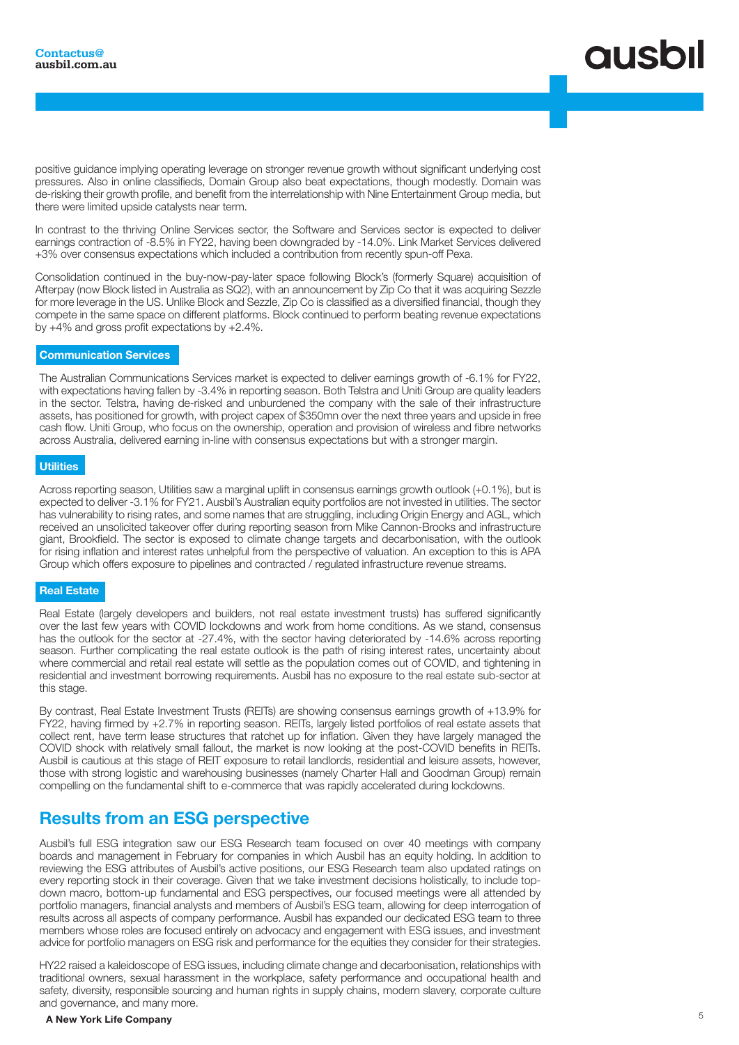## **ausbil**

positive guidance implying operating leverage on stronger revenue growth without significant underlying cost pressures. Also in online classifieds, Domain Group also beat expectations, though modestly. Domain was de-risking their growth profile, and benefit from the interrelationship with Nine Entertainment Group media, but there were limited upside catalysts near term.

In contrast to the thriving Online Services sector, the Software and Services sector is expected to deliver earnings contraction of -8.5% in FY22, having been downgraded by -14.0%. Link Market Services delivered +3% over consensus expectations which included a contribution from recently spun-off Pexa.

Consolidation continued in the buy-now-pay-later space following Block's (formerly Square) acquisition of Afterpay (now Block listed in Australia as SQ2), with an announcement by Zip Co that it was acquiring Sezzle for more leverage in the US. Unlike Block and Sezzle, Zip Co is classified as a diversified financial, though they compete in the same space on different platforms. Block continued to perform beating revenue expectations by +4% and gross profit expectations by +2.4%.

#### Communication Services

The Australian Communications Services market is expected to deliver earnings growth of -6.1% for FY22, with expectations having fallen by -3.4% in reporting season. Both Telstra and Uniti Group are quality leaders in the sector. Telstra, having de-risked and unburdened the company with the sale of their infrastructure assets, has positioned for growth, with project capex of \$350mn over the next three years and upside in free cash flow. Uniti Group, who focus on the ownership, operation and provision of wireless and fibre networks across Australia, delivered earning in-line with consensus expectations but with a stronger margin.

#### **Utilities**

Across reporting season, Utilities saw a marginal uplift in consensus earnings growth outlook (+0.1%), but is expected to deliver -3.1% for FY21. Ausbil's Australian equity portfolios are not invested in utilities. The sector has vulnerability to rising rates, and some names that are struggling, including Origin Energy and AGL, which received an unsolicited takeover offer during reporting season from Mike Cannon-Brooks and infrastructure giant, Brookfield. The sector is exposed to climate change targets and decarbonisation, with the outlook for rising inflation and interest rates unhelpful from the perspective of valuation. An exception to this is APA Group which offers exposure to pipelines and contracted / regulated infrastructure revenue streams.

#### Real Estate

Real Estate (largely developers and builders, not real estate investment trusts) has suffered significantly over the last few years with COVID lockdowns and work from home conditions. As we stand, consensus has the outlook for the sector at -27.4%, with the sector having deteriorated by -14.6% across reporting season. Further complicating the real estate outlook is the path of rising interest rates, uncertainty about where commercial and retail real estate will settle as the population comes out of COVID, and tightening in residential and investment borrowing requirements. Ausbil has no exposure to the real estate sub-sector at this stage.

By contrast, Real Estate Investment Trusts (REITs) are showing consensus earnings growth of +13.9% for FY22, having firmed by +2.7% in reporting season. REITs, largely listed portfolios of real estate assets that collect rent, have term lease structures that ratchet up for inflation. Given they have largely managed the COVID shock with relatively small fallout, the market is now looking at the post-COVID benefits in REITs. Ausbil is cautious at this stage of REIT exposure to retail landlords, residential and leisure assets, however, those with strong logistic and warehousing businesses (namely Charter Hall and Goodman Group) remain compelling on the fundamental shift to e-commerce that was rapidly accelerated during lockdowns.

## Results from an ESG perspective

Ausbil's full ESG integration saw our ESG Research team focused on over 40 meetings with company boards and management in February for companies in which Ausbil has an equity holding. In addition to reviewing the ESG attributes of Ausbil's active positions, our ESG Research team also updated ratings on every reporting stock in their coverage. Given that we take investment decisions holistically, to include topdown macro, bottom-up fundamental and ESG perspectives, our focused meetings were all attended by portfolio managers, financial analysts and members of Ausbil's ESG team, allowing for deep interrogation of results across all aspects of company performance. Ausbil has expanded our dedicated ESG team to three members whose roles are focused entirely on advocacy and engagement with ESG issues, and investment advice for portfolio managers on ESG risk and performance for the equities they consider for their strategies.

HY22 raised a kaleidoscope of ESG issues, including climate change and decarbonisation, relationships with traditional owners, sexual harassment in the workplace, safety performance and occupational health and safety, diversity, responsible sourcing and human rights in supply chains, modern slavery, corporate culture and governance, and many more.

### A New York Life Company and the company of the control of the control of the control of the control of the control of the control of the control of the control of the control of the control of the control of the control of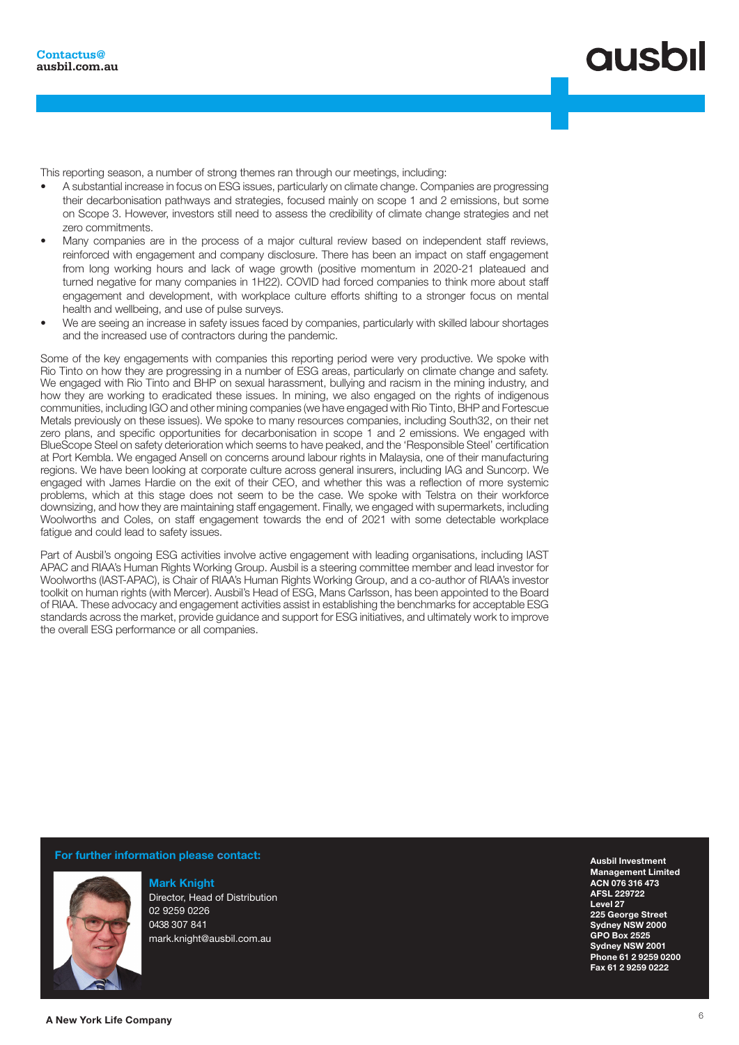This reporting season, a number of strong themes ran through our meetings, including:

- A substantial increase in focus on ESG issues, particularly on climate change. Companies are progressing their decarbonisation pathways and strategies, focused mainly on scope 1 and 2 emissions, but some on Scope 3. However, investors still need to assess the credibility of climate change strategies and net zero commitments.
- Many companies are in the process of a major cultural review based on independent staff reviews, reinforced with engagement and company disclosure. There has been an impact on staff engagement from long working hours and lack of wage growth (positive momentum in 2020-21 plateaued and turned negative for many companies in 1H22). COVID had forced companies to think more about staff engagement and development, with workplace culture efforts shifting to a stronger focus on mental health and wellbeing, and use of pulse surveys.
- We are seeing an increase in safety issues faced by companies, particularly with skilled labour shortages and the increased use of contractors during the pandemic.

Some of the key engagements with companies this reporting period were very productive. We spoke with Rio Tinto on how they are progressing in a number of ESG areas, particularly on climate change and safety. We engaged with Rio Tinto and BHP on sexual harassment, bullying and racism in the mining industry, and how they are working to eradicated these issues. In mining, we also engaged on the rights of indigenous communities, including IGO and other mining companies (we have engaged with Rio Tinto, BHP and Fortescue Metals previously on these issues). We spoke to many resources companies, including South32, on their net zero plans, and specific opportunities for decarbonisation in scope 1 and 2 emissions. We engaged with BlueScope Steel on safety deterioration which seems to have peaked, and the 'Responsible Steel' certification at Port Kembla. We engaged Ansell on concerns around labour rights in Malaysia, one of their manufacturing regions. We have been looking at corporate culture across general insurers, including IAG and Suncorp. We engaged with James Hardie on the exit of their CEO, and whether this was a reflection of more systemic problems, which at this stage does not seem to be the case. We spoke with Telstra on their workforce downsizing, and how they are maintaining staff engagement. Finally, we engaged with supermarkets, including Woolworths and Coles, on staff engagement towards the end of 2021 with some detectable workplace fatigue and could lead to safety issues.

Part of Ausbil's ongoing ESG activities involve active engagement with leading organisations, including IAST APAC and RIAA's Human Rights Working Group. Ausbil is a steering committee member and lead investor for Woolworths (IAST-APAC), is Chair of RIAA's Human Rights Working Group, and a co-author of RIAA's investor toolkit on human rights (with Mercer). Ausbil's Head of ESG, Mans Carlsson, has been appointed to the Board of RIAA. These advocacy and engagement activities assist in establishing the benchmarks for acceptable ESG standards across the market, provide guidance and support for ESG initiatives, and ultimately work to improve the overall ESG performance or all companies.

For further information please contact:



Mark Knight Director, Head of Distribution 02 9259 0226 0438 307 841 mark.knight@ausbil.com.au

Ausbil Investment Management Limited ACN 076 316 473 AFSL 229722 Level 27 225 George Street Sydney NSW 2000 GPO Box 2525 Sydney NSW 2001 Phone 61 2 9259 0200 Fax 61 2 9259 0222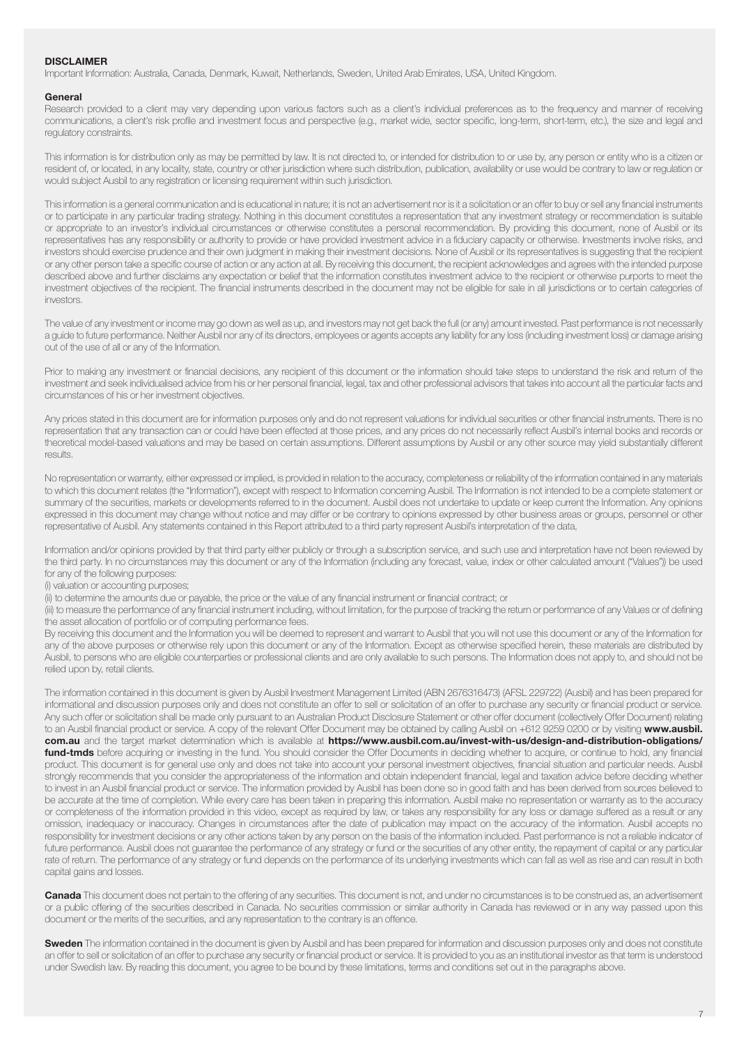#### **DISCLAIMER**

Important Information: Australia, Canada, Denmark, Kuwait, Netherlands, Sweden, United Arab Emirates, USA, United Kingdom.

#### General

Research provided to a client may vary depending upon various factors such as a client's individual preferences as to the frequency and manner of receiving communications, a client's risk profile and investment focus and perspective (e.g., market wide, sector specific, long-term, short-term, etc.), the size and legal and regulatory constraints.

This information is for distribution only as may be permitted by law. It is not directed to, or intended for distribution to or use by, any person or entity who is a citizen or resident of, or located, in any locality, state, country or other jurisdiction where such distribution, publication, availability or use would be contrary to law or regulation or would subject Ausbil to any registration or licensing requirement within such jurisdiction.

This information is a general communication and is educational in nature; it is not an advertisement nor is it a solicitation or an offer to buy or sell any financial instruments or to participate in any particular trading strategy. Nothing in this document constitutes a representation that any investment strategy or recommendation is suitable or appropriate to an investor's individual circumstances or otherwise constitutes a personal recommendation. By providing this document, none of Ausbil or its representatives has any responsibility or authority to provide or have provided investment advice in a fiduciary capacity or otherwise. Investments involve risks, and investors should exercise prudence and their own judgment in making their investment decisions. None of Ausbil or its representatives is suggesting that the recipient or any other person take a specific course of action or any action at all. By receiving this document, the recipient acknowledges and agrees with the intended purpose described above and further disclaims any expectation or belief that the information constitutes investment advice to the recipient or otherwise purports to meet the investment objectives of the recipient. The financial instruments described in the document may not be eligible for sale in all jurisdictions or to certain categories of investors.

The value of any investment or income may go down as well as up, and investors may not get back the full (or any) amount invested. Past performance is not necessarily a guide to future performance. Neither Ausbil nor any of its directors, employees or agents accepts any liability for any loss (including investment loss) or damage arising out of the use of all or any of the Information.

Prior to making any investment or financial decisions, any recipient of this document or the information should take steps to understand the risk and return of the investment and seek individualised advice from his or her personal financial, legal, tax and other professional advisors that takes into account all the particular facts and circumstances of his or her investment objectives.

Any prices stated in this document are for information purposes only and do not represent valuations for individual securities or other financial instruments. There is no representation that any transaction can or could have been effected at those prices, and any prices do not necessarily reflect Ausbil's internal books and records or theoretical model-based valuations and may be based on certain assumptions. Different assumptions by Ausbil or any other source may yield substantially different results.

No representation or warranty, either expressed or implied, is provided in relation to the accuracy, completeness or reliability of the information contained in any materials to which this document relates (the "Information"), except with respect to Information concerning Ausbil. The Information is not intended to be a complete statement or summary of the securities, markets or developments referred to in the document. Ausbil does not undertake to update or keep current the Information. Any opinions expressed in this document may change without notice and may differ or be contrary to opinions expressed by other business areas or groups, personnel or other representative of Ausbil. Any statements contained in this Report attributed to a third party represent Ausbil's interpretation of the data,

Information and/or opinions provided by that third party either publicly or through a subscription service, and such use and interpretation have not been reviewed by the third party. In no circumstances may this document or any of the Information (including any forecast, value, index or other calculated amount ("Values")) be used for any of the following purposes:

(i) valuation or accounting purposes;

(ii) to determine the amounts due or payable, the price or the value of any financial instrument or financial contract; or

(iii) to measure the performance of any financial instrument including, without limitation, for the purpose of tracking the return or performance of any Values or of defining the asset allocation of portfolio or of computing performance fees.

By receiving this document and the Information you will be deemed to represent and warrant to Ausbil that you will not use this document or any of the Information for any of the above purposes or otherwise rely upon this document or any of the Information. Except as otherwise specified herein, these materials are distributed by Ausbil, to persons who are eligible counterparties or professional clients and are only available to such persons. The Information does not apply to, and should not be relied upon by, retail clients.

The information contained in this document is given by Ausbil Investment Management Limited (ABN 2676316473) (AFSL 229722) (Ausbil) and has been prepared for informational and discussion purposes only and does not constitute an offer to sell or solicitation of an offer to purchase any security or financial product or service. Any such offer or solicitation shall be made only pursuant to an Australian Product Disclosure Statement or other offer document (collectively Offer Document) relating to an Ausbil financial product or service. A copy of the relevant Offer Document may be obtained by calling Ausbil on +612 9259 0200 or by visiting www.ausbil. com.au and the target market determination which is available at https://www.ausbil.com.au/invest-with-us/design-and-distribution-obligations/ fund-tmds before acquiring or investing in the fund. You should consider the Offer Documents in deciding whether to acquire, or continue to hold, any financial product. This document is for general use only and does not take into account your personal investment objectives, financial situation and particular needs. Ausbil strongly recommends that you consider the appropriateness of the information and obtain independent financial, legal and taxation advice before deciding whether to invest in an Ausbil financial product or service. The information provided by Ausbil has been done so in good faith and has been derived from sources believed to be accurate at the time of completion. While every care has been taken in preparing this information. Ausbil make no representation or warranty as to the accuracy or completeness of the information provided in this video, except as required by law, or takes any responsibility for any loss or damage suffered as a result or any omission, inadequacy or inaccuracy. Changes in circumstances after the date of publication may impact on the accuracy of the information. Ausbil accepts no responsibility for investment decisions or any other actions taken by any person on the basis of the information included. Past performance is not a reliable indicator of future performance. Ausbil does not guarantee the performance of any strategy or fund or the securities of any other entity, the repayment of capital or any particular rate of return. The performance of any strategy or fund depends on the performance of its underlying investments which can fall as well as rise and can result in both capital gains and losses.

Canada This document does not pertain to the offering of any securities. This document is not, and under no circumstances is to be construed as, an advertisement or a public offering of the securities described in Canada. No securities commission or similar authority in Canada has reviewed or in any way passed upon this document or the merits of the securities, and any representation to the contrary is an offence.

Sweden The information contained in the document is given by Ausbil and has been prepared for information and discussion purposes only and does not constitute an offer to sell or solicitation of an offer to purchase any security or financial product or service. It is provided to you as an institutional investor as that term is understood under Swedish law. By reading this document, you agree to be bound by these limitations, terms and conditions set out in the paragraphs above.